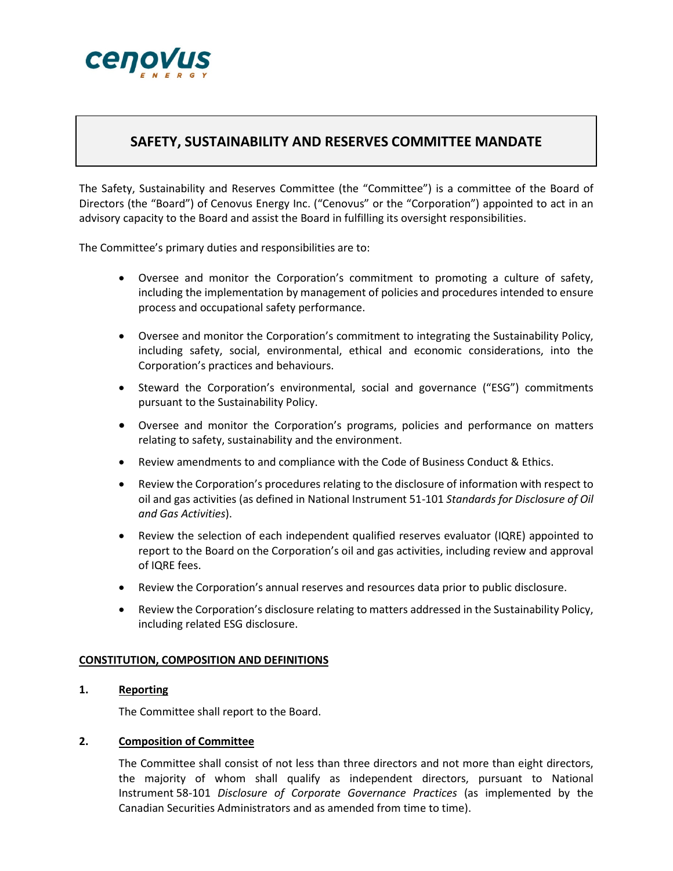

# **SAFETY, SUSTAINABILITY AND RESERVES COMMITTEE MANDATE**

The Safety, Sustainability and Reserves Committee (the "Committee") is a committee of the Board of Directors (the "Board") of Cenovus Energy Inc. ("Cenovus" or the "Corporation") appointed to act in an advisory capacity to the Board and assist the Board in fulfilling its oversight responsibilities.

The Committee's primary duties and responsibilities are to:

- Oversee and monitor the Corporation's commitment to promoting a culture of safety, including the implementation by management of policies and procedures intended to ensure process and occupational safety performance.
- Oversee and monitor the Corporation's commitment to integrating the Sustainability Policy, including safety, social, environmental, ethical and economic considerations, into the Corporation's practices and behaviours.
- Steward the Corporation's environmental, social and governance ("ESG") commitments pursuant to the Sustainability Policy.
- Oversee and monitor the Corporation's programs, policies and performance on matters relating to safety, sustainability and the environment.
- Review amendments to and compliance with the Code of Business Conduct & Ethics.
- Review the Corporation's procedures relating to the disclosure of information with respect to oil and gas activities (as defined in National Instrument 51-101 *Standards for Disclosure of Oil and Gas Activities*).
- Review the selection of each independent qualified reserves evaluator (IQRE) appointed to report to the Board on the Corporation's oil and gas activities, including review and approval of IQRE fees.
- Review the Corporation's annual reserves and resources data prior to public disclosure.
- Review the Corporation's disclosure relating to matters addressed in the Sustainability Policy, including related ESG disclosure.

#### **CONSTITUTION, COMPOSITION AND DEFINITIONS**

### **1. Reporting**

The Committee shall report to the Board.

#### **2. Composition of Committee**

The Committee shall consist of not less than three directors and not more than eight directors, the majority of whom shall qualify as independent directors, pursuant to National Instrument 58-101 *Disclosure of Corporate Governance Practices* (as implemented by the Canadian Securities Administrators and as amended from time to time).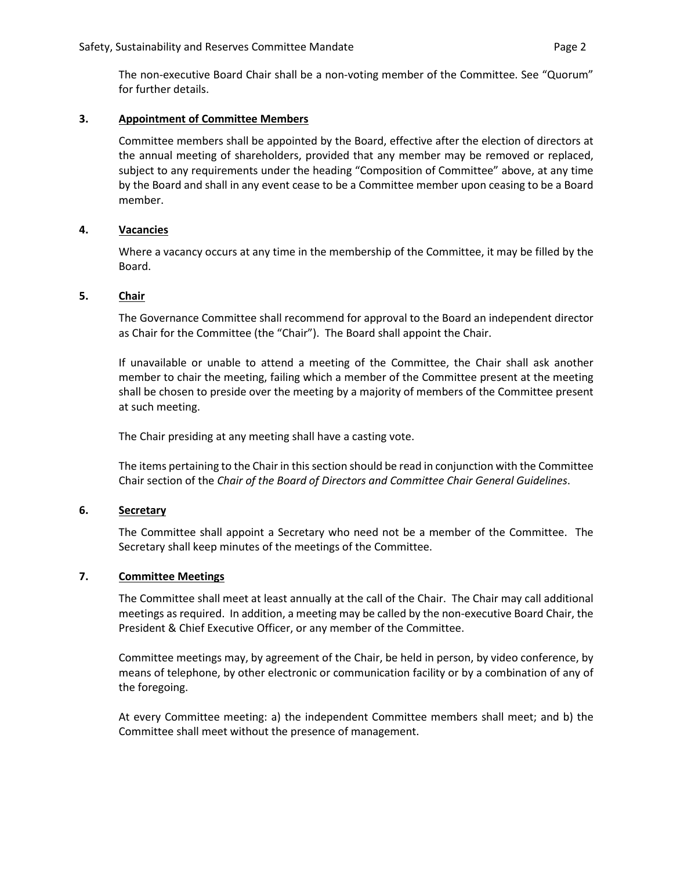The non-executive Board Chair shall be a non-voting member of the Committee. See "Quorum" for further details.

### **3. Appointment of Committee Members**

Committee members shall be appointed by the Board, effective after the election of directors at the annual meeting of shareholders, provided that any member may be removed or replaced, subject to any requirements under the heading "Composition of Committee" above, at any time by the Board and shall in any event cease to be a Committee member upon ceasing to be a Board member.

### **4. Vacancies**

Where a vacancy occurs at any time in the membership of the Committee, it may be filled by the Board.

#### **5. Chair**

The Governance Committee shall recommend for approval to the Board an independent director as Chair for the Committee (the "Chair"). The Board shall appoint the Chair.

If unavailable or unable to attend a meeting of the Committee, the Chair shall ask another member to chair the meeting, failing which a member of the Committee present at the meeting shall be chosen to preside over the meeting by a majority of members of the Committee present at such meeting.

The Chair presiding at any meeting shall have a casting vote.

The items pertaining to the Chair in this section should be read in conjunction with the Committee Chair section of the *Chair of the Board of Directors and Committee Chair General Guidelines*.

### **6. Secretary**

The Committee shall appoint a Secretary who need not be a member of the Committee. The Secretary shall keep minutes of the meetings of the Committee.

### **7. Committee Meetings**

The Committee shall meet at least annually at the call of the Chair. The Chair may call additional meetings as required. In addition, a meeting may be called by the non-executive Board Chair, the President & Chief Executive Officer, or any member of the Committee.

Committee meetings may, by agreement of the Chair, be held in person, by video conference, by means of telephone, by other electronic or communication facility or by a combination of any of the foregoing.

At every Committee meeting: a) the independent Committee members shall meet; and b) the Committee shall meet without the presence of management.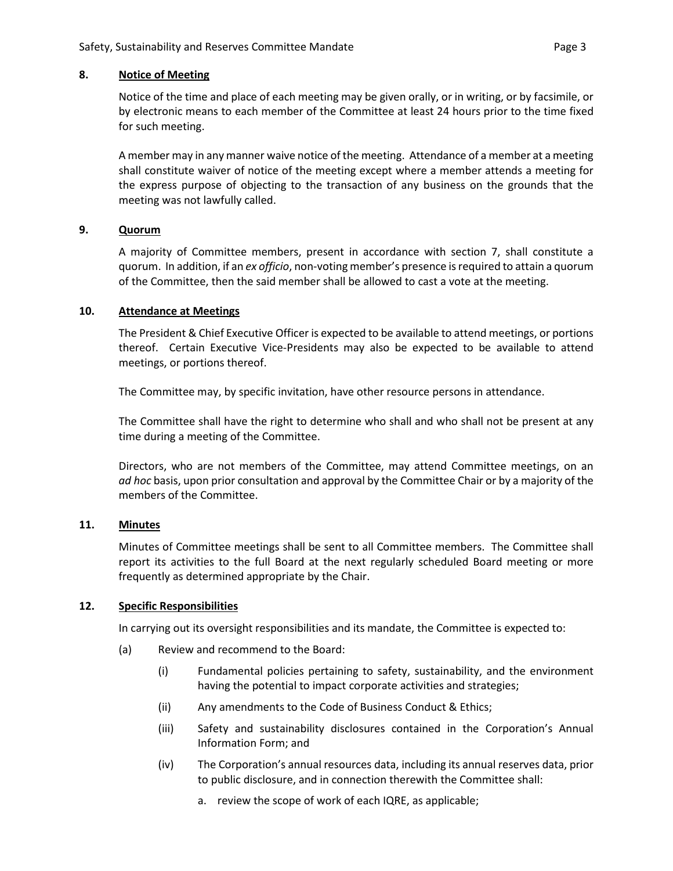#### **8. Notice of Meeting**

Notice of the time and place of each meeting may be given orally, or in writing, or by facsimile, or by electronic means to each member of the Committee at least 24 hours prior to the time fixed for such meeting.

A member may in any manner waive notice of the meeting. Attendance of a member at a meeting shall constitute waiver of notice of the meeting except where a member attends a meeting for the express purpose of objecting to the transaction of any business on the grounds that the meeting was not lawfully called.

### **9. Quorum**

A majority of Committee members, present in accordance with section 7, shall constitute a quorum. In addition, if an *ex officio*, non-voting member's presence is required to attain a quorum of the Committee, then the said member shall be allowed to cast a vote at the meeting.

#### **10. Attendance at Meetings**

The President & Chief Executive Officer is expected to be available to attend meetings, or portions thereof. Certain Executive Vice-Presidents may also be expected to be available to attend meetings, or portions thereof.

The Committee may, by specific invitation, have other resource persons in attendance.

The Committee shall have the right to determine who shall and who shall not be present at any time during a meeting of the Committee.

Directors, who are not members of the Committee, may attend Committee meetings, on an *ad hoc* basis, upon prior consultation and approval by the Committee Chair or by a majority of the members of the Committee.

### **11. Minutes**

Minutes of Committee meetings shall be sent to all Committee members. The Committee shall report its activities to the full Board at the next regularly scheduled Board meeting or more frequently as determined appropriate by the Chair.

### **12. Specific Responsibilities**

In carrying out its oversight responsibilities and its mandate, the Committee is expected to:

- (a) Review and recommend to the Board:
	- (i) Fundamental policies pertaining to safety, sustainability, and the environment having the potential to impact corporate activities and strategies;
	- (ii) Any amendments to the Code of Business Conduct & Ethics;
	- (iii) Safety and sustainability disclosures contained in the Corporation's Annual Information Form; and
	- (iv) The Corporation's annual resources data, including its annual reserves data, prior to public disclosure, and in connection therewith the Committee shall:
		- a. review the scope of work of each IQRE, as applicable;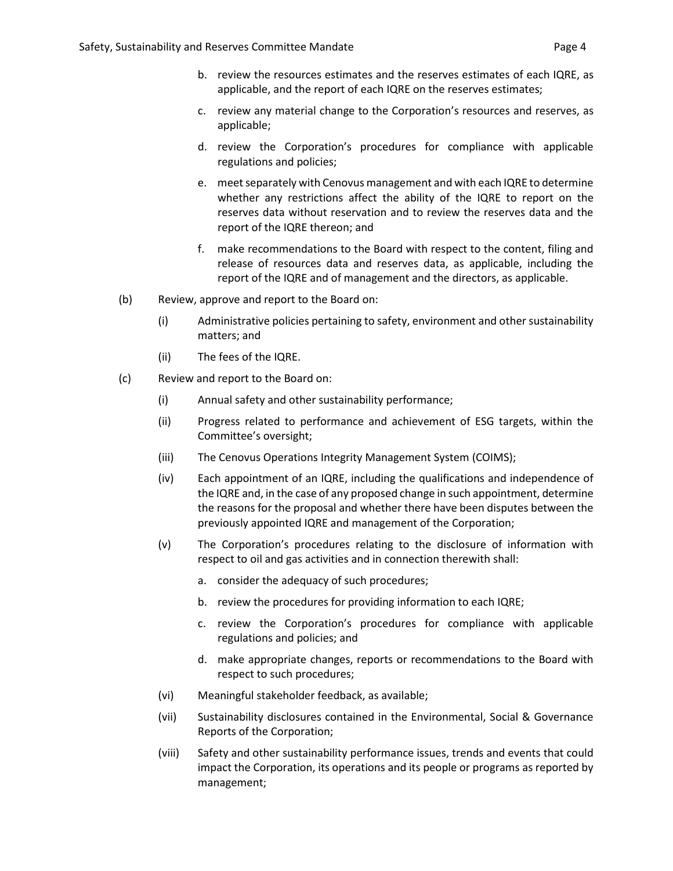- b. review the resources estimates and the reserves estimates of each IQRE, as applicable, and the report of each IQRE on the reserves estimates;
- c. review any material change to the Corporation's resources and reserves, as applicable;
- d. review the Corporation's procedures for compliance with applicable regulations and policies;
- e. meet separately with Cenovus management and with each IQRE to determine whether any restrictions affect the ability of the IQRE to report on the reserves data without reservation and to review the reserves data and the report of the IQRE thereon; and
- f. make recommendations to the Board with respect to the content, filing and release of resources data and reserves data, as applicable, including the report of the IQRE and of management and the directors, as applicable.
- (b) Review, approve and report to the Board on:
	- (i) Administrative policies pertaining to safety, environment and other sustainability matters; and
	- (ii) The fees of the IQRE.
- (c) Review and report to the Board on:
	- (i) Annual safety and other sustainability performance;
	- (ii) Progress related to performance and achievement of ESG targets, within the Committee's oversight;
	- (iii) The Cenovus Operations Integrity Management System (COIMS);
	- (iv) Each appointment of an IQRE, including the qualifications and independence of the IQRE and, in the case of any proposed change in such appointment, determine the reasons for the proposal and whether there have been disputes between the previously appointed IQRE and management of the Corporation;
	- (v) The Corporation's procedures relating to the disclosure of information with respect to oil and gas activities and in connection therewith shall:
		- a. consider the adequacy of such procedures;
		- b. review the procedures for providing information to each IQRE;
		- c. review the Corporation's procedures for compliance with applicable regulations and policies; and
		- d. make appropriate changes, reports or recommendations to the Board with respect to such procedures;
	- (vi) Meaningful stakeholder feedback, as available;
	- (vii) Sustainability disclosures contained in the Environmental, Social & Governance Reports of the Corporation;
	- (viii) Safety and other sustainability performance issues, trends and events that could impact the Corporation, its operations and its people or programs as reported by management;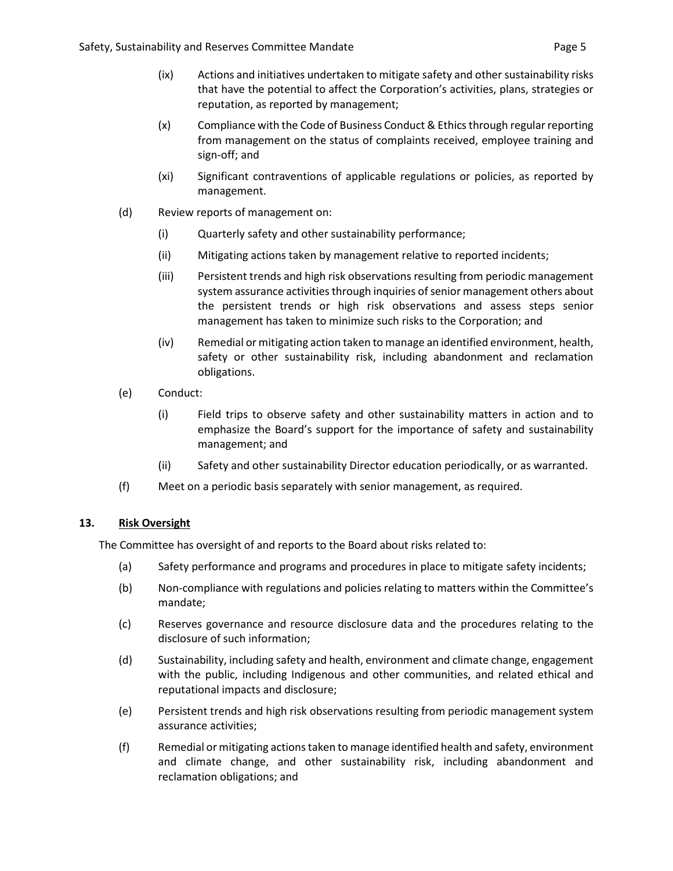- (ix) Actions and initiatives undertaken to mitigate safety and other sustainability risks that have the potential to affect the Corporation's activities, plans, strategies or reputation, as reported by management;
- (x) Compliance with the Code of Business Conduct & Ethics through regular reporting from management on the status of complaints received, employee training and sign-off; and
- (xi) Significant contraventions of applicable regulations or policies, as reported by management.
- (d) Review reports of management on:
	- (i) Quarterly safety and other sustainability performance;
	- (ii) Mitigating actions taken by management relative to reported incidents;
	- (iii) Persistent trends and high risk observations resulting from periodic management system assurance activities through inquiries of senior management others about the persistent trends or high risk observations and assess steps senior management has taken to minimize such risks to the Corporation; and
	- (iv) Remedial or mitigating action taken to manage an identified environment, health, safety or other sustainability risk, including abandonment and reclamation obligations.
- (e) Conduct:
	- (i) Field trips to observe safety and other sustainability matters in action and to emphasize the Board's support for the importance of safety and sustainability management; and
	- (ii) Safety and other sustainability Director education periodically, or as warranted.
- (f) Meet on a periodic basis separately with senior management, as required.

## **13. Risk Oversight**

The Committee has oversight of and reports to the Board about risks related to:

- (a) Safety performance and programs and procedures in place to mitigate safety incidents;
- (b) Non-compliance with regulations and policies relating to matters within the Committee's mandate;
- (c) Reserves governance and resource disclosure data and the procedures relating to the disclosure of such information;
- (d) Sustainability, including safety and health, environment and climate change, engagement with the public, including Indigenous and other communities, and related ethical and reputational impacts and disclosure;
- (e) Persistent trends and high risk observations resulting from periodic management system assurance activities;
- (f) Remedial or mitigating actions taken to manage identified health and safety, environment and climate change, and other sustainability risk, including abandonment and reclamation obligations; and